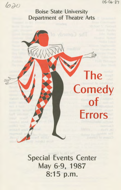$05 - 06 - 87$ 

The

**Comedy** 

**of** 

**Errors** 

620

# Boise State University Department of Theatre Arts

Special Events Center May 6-9, 1987 8:15 p.m.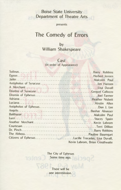## **Boise State University Department of Theatre Arts**

presents

# **The Comedy of Errors**

by **William Shakespeare** 

### **Cast**

(in order of Appearance)

| Antipholus of EphesusDon J. Lee                   |                                 |
|---------------------------------------------------|---------------------------------|
|                                                   |                                 |
|                                                   |                                 |
|                                                   |                                 |
|                                                   |                                 |
|                                                   |                                 |
|                                                   |                                 |
|                                                   |                                 |
| Citizens of EphesusLucille Tracadas, Lisa Duvall, |                                 |
|                                                   | Kevin Labrom, Brian Crosthwaite |

The City of Ephesus Some time ago.

There will be one intermission.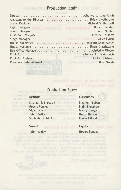## **Production Staff**

| House SupervisorWilliam Shankweiler |  |
|-------------------------------------|--|
|                                     |  |
|                                     |  |
|                                     |  |
|                                     |  |
|                                     |  |

## Production Crew

#### Setting

**Michael S. Hartwell And S. Hartwell Robert Parsley** Violet Lynch John Hadley Students of TA118

#### Costumes

Heather Nisbett Holly Holsinger Nancy Berger Kathy Batton Diana Gilbert

#### Sound

John Hadley

#### Lights

Robert Parsley

nogrettus (i.e., Rose Marie, Navelvir Marietta). There are 24 soves in